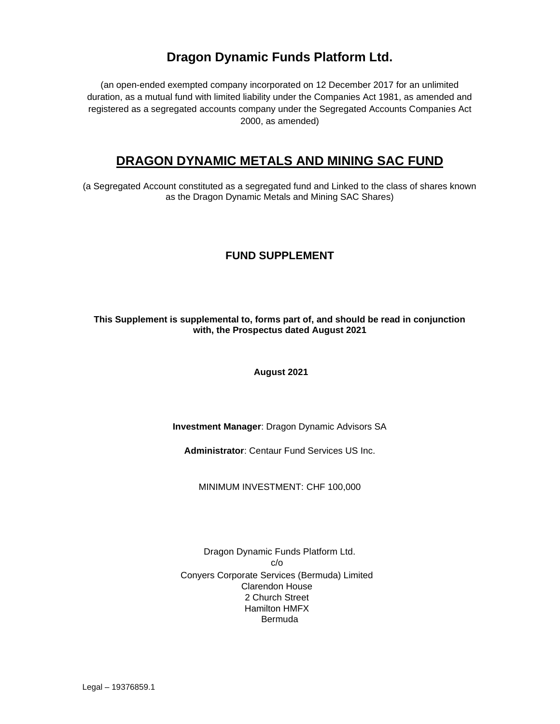# **Dragon Dynamic Funds Platform Ltd.**

(an open-ended exempted company incorporated on 12 December 2017 for an unlimited duration, as a mutual fund with limited liability under the Companies Act 1981, as amended and registered as a segregated accounts company under the Segregated Accounts Companies Act 2000, as amended)

# **DRAGON DYNAMIC METALS AND MINING SAC FUND**

(a Segregated Account constituted as a segregated fund and Linked to the class of shares known as the Dragon Dynamic Metals and Mining SAC Shares)

# **FUND SUPPLEMENT**

# **This Supplement is supplemental to, forms part of, and should be read in conjunction with, the Prospectus dated August 2021**

**August 2021**

**Investment Manager**: Dragon Dynamic Advisors SA

**Administrator**: Centaur Fund Services US Inc.

MINIMUM INVESTMENT: CHF 100,000

Dragon Dynamic Funds Platform Ltd. c/o Conyers Corporate Services (Bermuda) Limited Clarendon House 2 Church Street Hamilton HMFX Bermuda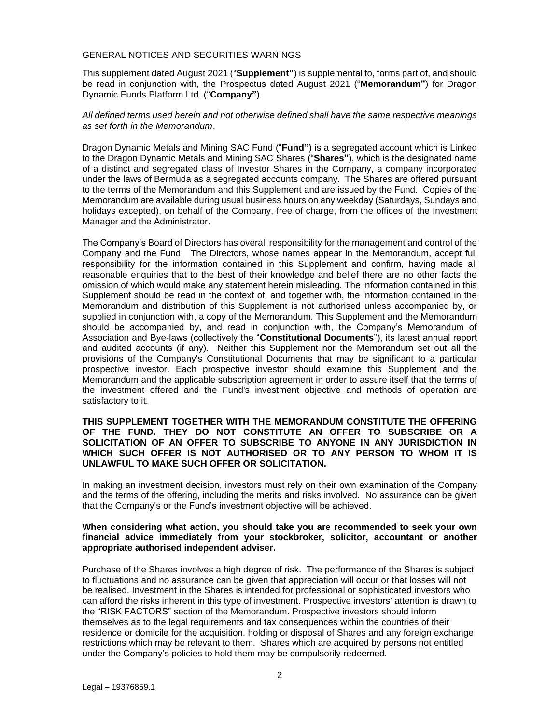#### <span id="page-1-0"></span>GENERAL NOTICES AND SECURITIES WARNINGS

This supplement dated August 2021 ("**Supplement"**) is supplemental to, forms part of, and should be read in conjunction with, the Prospectus dated August 2021 ("**Memorandum"**) for Dragon Dynamic Funds Platform Ltd. ("**Company"**).

### *All defined terms used herein and not otherwise defined shall have the same respective meanings as set forth in the Memorandum*.

Dragon Dynamic Metals and Mining SAC Fund ("**Fund"**) is a segregated account which is Linked to the Dragon Dynamic Metals and Mining SAC Shares ("**Shares"**), which is the designated name of a distinct and segregated class of Investor Shares in the Company, a company incorporated under the laws of Bermuda as a segregated accounts company. The Shares are offered pursuant to the terms of the Memorandum and this Supplement and are issued by the Fund. Copies of the Memorandum are available during usual business hours on any weekday (Saturdays, Sundays and holidays excepted), on behalf of the Company, free of charge, from the offices of the Investment Manager and the Administrator.

The Company's Board of Directors has overall responsibility for the management and control of the Company and the Fund. The Directors, whose names appear in the Memorandum, accept full responsibility for the information contained in this Supplement and confirm, having made all reasonable enquiries that to the best of their knowledge and belief there are no other facts the omission of which would make any statement herein misleading. The information contained in this Supplement should be read in the context of, and together with, the information contained in the Memorandum and distribution of this Supplement is not authorised unless accompanied by, or supplied in conjunction with, a copy of the Memorandum. This Supplement and the Memorandum should be accompanied by, and read in conjunction with, the Company's Memorandum of Association and Bye-laws (collectively the "**Constitutional Documents**"), its latest annual report and audited accounts (if any). Neither this Supplement nor the Memorandum set out all the provisions of the Company's Constitutional Documents that may be significant to a particular prospective investor. Each prospective investor should examine this Supplement and the Memorandum and the applicable subscription agreement in order to assure itself that the terms of the investment offered and the Fund's investment objective and methods of operation are satisfactory to it.

### **THIS SUPPLEMENT TOGETHER WITH THE MEMORANDUM CONSTITUTE THE OFFERING OF THE FUND. THEY DO NOT CONSTITUTE AN OFFER TO SUBSCRIBE OR A SOLICITATION OF AN OFFER TO SUBSCRIBE TO ANYONE IN ANY JURISDICTION IN WHICH SUCH OFFER IS NOT AUTHORISED OR TO ANY PERSON TO WHOM IT IS UNLAWFUL TO MAKE SUCH OFFER OR SOLICITATION.**

In making an investment decision, investors must rely on their own examination of the Company and the terms of the offering, including the merits and risks involved. No assurance can be given that the Company's or the Fund's investment objective will be achieved.

### **When considering what action, you should take you are recommended to seek your own financial advice immediately from your stockbroker, solicitor, accountant or another appropriate authorised independent adviser.**

Purchase of the Shares involves a high degree of risk. The performance of the Shares is subject to fluctuations and no assurance can be given that appreciation will occur or that losses will not be realised. Investment in the Shares is intended for professional or sophisticated investors who can afford the risks inherent in this type of investment. Prospective investors' attention is drawn to the "RISK FACTORS" section of the Memorandum. Prospective investors should inform themselves as to the legal requirements and tax consequences within the countries of their residence or domicile for the acquisition, holding or disposal of Shares and any foreign exchange restrictions which may be relevant to them. Shares which are acquired by persons not entitled under the Company's policies to hold them may be compulsorily redeemed.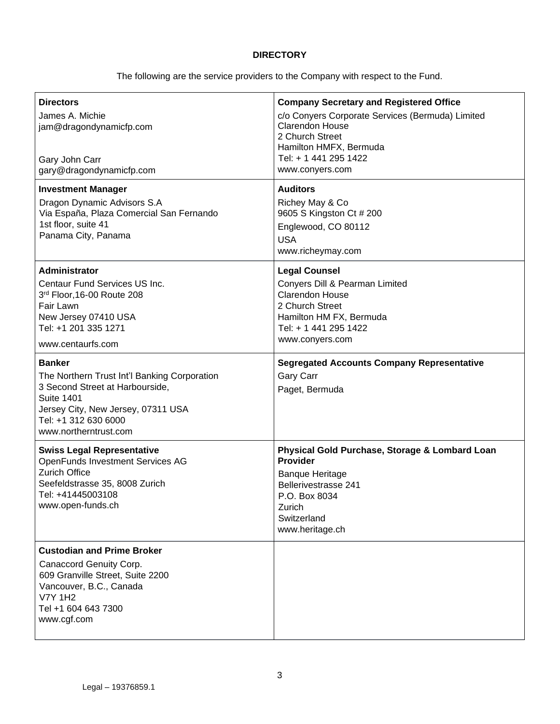# **DIRECTORY**

The following are the service providers to the Company with respect to the Fund.

| <b>Directors</b><br>James A. Michie<br>jam@dragondynamicfp.com<br>Gary John Carr<br>gary@dragondynamicfp.com                                                                                                 | <b>Company Secretary and Registered Office</b><br>c/o Conyers Corporate Services (Bermuda) Limited<br>Clarendon House<br>2 Church Street<br>Hamilton HMFX, Bermuda<br>Tel: + 1 441 295 1422<br>www.conyers.com |
|--------------------------------------------------------------------------------------------------------------------------------------------------------------------------------------------------------------|----------------------------------------------------------------------------------------------------------------------------------------------------------------------------------------------------------------|
| <b>Investment Manager</b><br>Dragon Dynamic Advisors S.A<br>Via España, Plaza Comercial San Fernando<br>1st floor, suite 41<br>Panama City, Panama                                                           | <b>Auditors</b><br>Richey May & Co<br>9605 S Kingston Ct # 200<br>Englewood, CO 80112<br><b>USA</b><br>www.richeymay.com                                                                                       |
| <b>Administrator</b><br>Centaur Fund Services US Inc.<br>3rd Floor, 16-00 Route 208<br>Fair Lawn<br>New Jersey 07410 USA<br>Tel: +1 201 335 1271<br>www.centaurfs.com                                        | <b>Legal Counsel</b><br>Conyers Dill & Pearman Limited<br>Clarendon House<br>2 Church Street<br>Hamilton HM FX, Bermuda<br>Tel: + 1 441 295 1422<br>www.conyers.com                                            |
| <b>Banker</b><br>The Northern Trust Int'l Banking Corporation<br>3 Second Street at Harbourside,<br><b>Suite 1401</b><br>Jersey City, New Jersey, 07311 USA<br>Tel: +1 312 630 6000<br>www.northerntrust.com | <b>Segregated Accounts Company Representative</b><br><b>Gary Carr</b><br>Paget, Bermuda                                                                                                                        |
| <b>Swiss Legal Representative</b><br>OpenFunds Investment Services AG<br><b>Zurich Office</b><br>Seefeldstrasse 35, 8008 Zurich<br>Tel: +41445003108<br>www.open-funds.ch                                    | Physical Gold Purchase, Storage & Lombard Loan<br><b>Provider</b><br><b>Banque Heritage</b><br><b>Bellerivestrasse 241</b><br>P.O. Box 8034<br>Zurich<br>Switzerland<br>www.heritage.ch                        |
| <b>Custodian and Prime Broker</b><br>Canaccord Genuity Corp.<br>609 Granville Street, Suite 2200<br>Vancouver, B.C., Canada<br><b>V7Y 1H2</b><br>Tel +1 604 643 7300<br>www.cgf.com                          |                                                                                                                                                                                                                |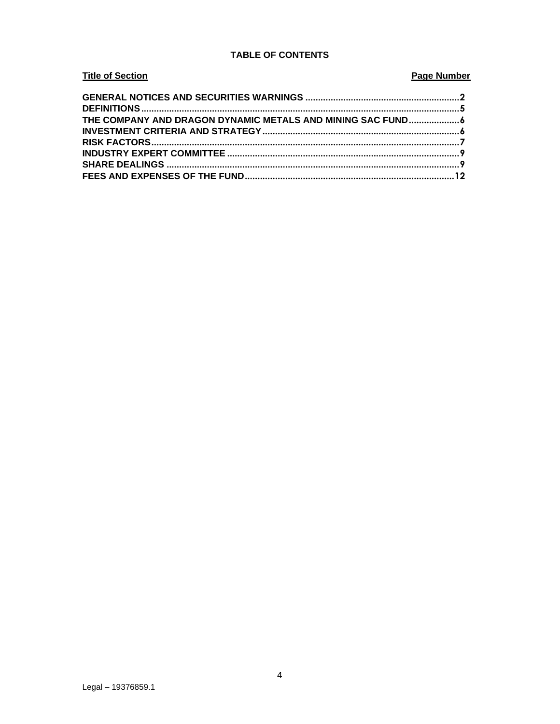# **TABLE OF CONTENTS**

# **Title of Section**

# **Page Number**

| THE COMPANY AND DRAGON DYNAMIC METALS AND MINING SAC FUND6 |  |
|------------------------------------------------------------|--|
|                                                            |  |
|                                                            |  |
|                                                            |  |
|                                                            |  |
|                                                            |  |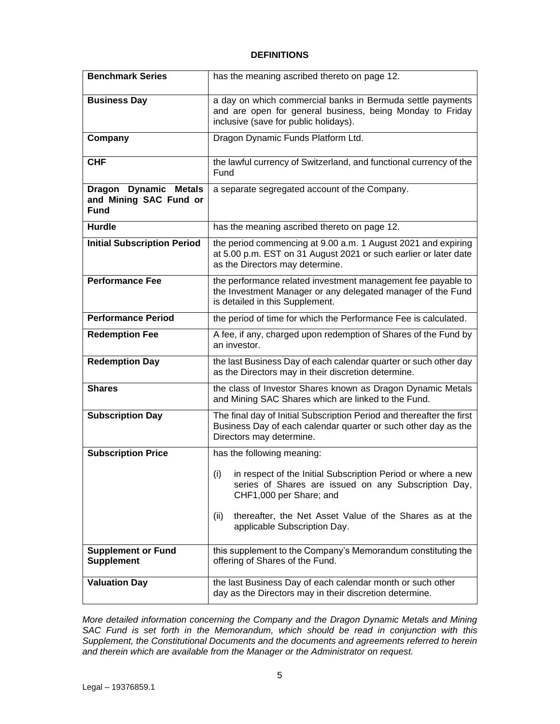## **DEFINITIONS**

<span id="page-4-0"></span>

| <b>Benchmark Series</b>                                                         | has the meaning ascribed thereto on page 12.                                                                                                                         |
|---------------------------------------------------------------------------------|----------------------------------------------------------------------------------------------------------------------------------------------------------------------|
| <b>Business Day</b>                                                             | a day on which commercial banks in Bermuda settle payments<br>and are open for general business, being Monday to Friday<br>inclusive (save for public holidays).     |
| Company                                                                         | Dragon Dynamic Funds Platform Ltd.                                                                                                                                   |
| <b>CHF</b>                                                                      | the lawful currency of Switzerland, and functional currency of the<br>Fund                                                                                           |
| <b>Dynamic Metals</b><br><b>Dragon</b><br>and Mining SAC Fund or<br><b>Fund</b> | a separate segregated account of the Company.                                                                                                                        |
| <b>Hurdle</b>                                                                   | has the meaning ascribed thereto on page 12.                                                                                                                         |
| <b>Initial Subscription Period</b>                                              | the period commencing at 9.00 a.m. 1 August 2021 and expiring<br>at 5.00 p.m. EST on 31 August 2021 or such earlier or later date<br>as the Directors may determine. |
| <b>Performance Fee</b>                                                          | the performance related investment management fee payable to<br>the Investment Manager or any delegated manager of the Fund<br>is detailed in this Supplement.       |
| <b>Performance Period</b>                                                       | the period of time for which the Performance Fee is calculated.                                                                                                      |
| <b>Redemption Fee</b>                                                           | A fee, if any, charged upon redemption of Shares of the Fund by<br>an investor.                                                                                      |
| <b>Redemption Day</b>                                                           | the last Business Day of each calendar quarter or such other day<br>as the Directors may in their discretion determine.                                              |
| <b>Shares</b>                                                                   | the class of Investor Shares known as Dragon Dynamic Metals<br>and Mining SAC Shares which are linked to the Fund.                                                   |
| <b>Subscription Day</b>                                                         | The final day of Initial Subscription Period and thereafter the first<br>Business Day of each calendar quarter or such other day as the<br>Directors may determine.  |
| <b>Subscription Price</b>                                                       | has the following meaning:                                                                                                                                           |
|                                                                                 | (i)<br>in respect of the Initial Subscription Period or where a new<br>series of Shares are issued on any Subscription Day,<br>CHF1,000 per Share; and               |
|                                                                                 | (ii)<br>thereafter, the Net Asset Value of the Shares as at the<br>applicable Subscription Day.                                                                      |
| <b>Supplement or Fund</b><br><b>Supplement</b>                                  | this supplement to the Company's Memorandum constituting the<br>offering of Shares of the Fund.                                                                      |
| <b>Valuation Day</b>                                                            | the last Business Day of each calendar month or such other<br>day as the Directors may in their discretion determine.                                                |

*More detailed information concerning the Company and the Dragon Dynamic Metals and Mining SAC Fund is set forth in the Memorandum, which should be read in conjunction with this Supplement, the Constitutional Documents and the documents and agreements referred to herein and therein which are available from the Manager or the Administrator on request.*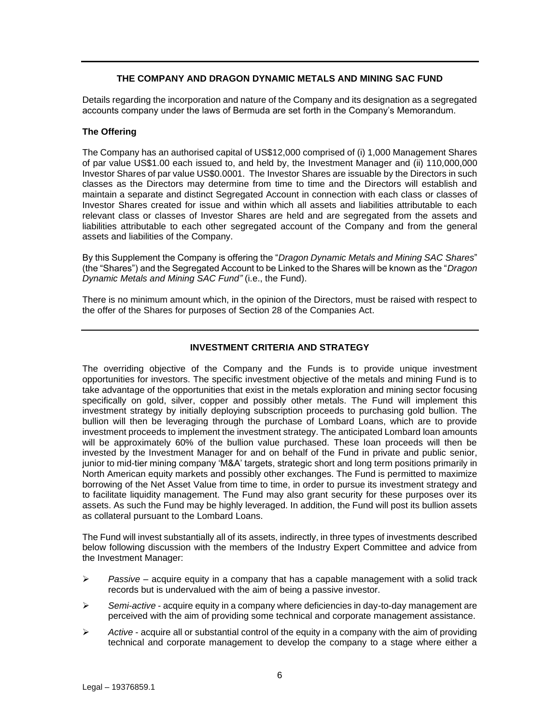# **THE COMPANY AND DRAGON DYNAMIC METALS AND MINING SAC FUND**

<span id="page-5-0"></span>Details regarding the incorporation and nature of the Company and its designation as a segregated accounts company under the laws of Bermuda are set forth in the Company's Memorandum.

# **The Offering**

The Company has an authorised capital of US\$12,000 comprised of (i) 1,000 Management Shares of par value US\$1.00 each issued to, and held by, the Investment Manager and (ii) 110,000,000 Investor Shares of par value US\$0.0001. The Investor Shares are issuable by the Directors in such classes as the Directors may determine from time to time and the Directors will establish and maintain a separate and distinct Segregated Account in connection with each class or classes of Investor Shares created for issue and within which all assets and liabilities attributable to each relevant class or classes of Investor Shares are held and are segregated from the assets and liabilities attributable to each other segregated account of the Company and from the general assets and liabilities of the Company.

By this Supplement the Company is offering the "*Dragon Dynamic Metals and Mining SAC Shares*" (the "Shares") and the Segregated Account to be Linked to the Shares will be known as the "*Dragon Dynamic Metals and Mining SAC Fund"* (i.e., the Fund).

There is no minimum amount which, in the opinion of the Directors, must be raised with respect to the offer of the Shares for purposes of Section 28 of the Companies Act.

# **INVESTMENT CRITERIA AND STRATEGY**

<span id="page-5-1"></span>The overriding objective of the Company and the Funds is to provide unique investment opportunities for investors. The specific investment objective of the metals and mining Fund is to take advantage of the opportunities that exist in the metals exploration and mining sector focusing specifically on gold, silver, copper and possibly other metals. The Fund will implement this investment strategy by initially deploying subscription proceeds to purchasing gold bullion. The bullion will then be leveraging through the purchase of Lombard Loans, which are to provide investment proceeds to implement the investment strategy. The anticipated Lombard loan amounts will be approximately 60% of the bullion value purchased. These loan proceeds will then be invested by the Investment Manager for and on behalf of the Fund in private and public senior, junior to mid-tier mining company 'M&A' targets, strategic short and long term positions primarily in North American equity markets and possibly other exchanges. The Fund is permitted to maximize borrowing of the Net Asset Value from time to time, in order to pursue its investment strategy and to facilitate liquidity management. The Fund may also grant security for these purposes over its assets. As such the Fund may be highly leveraged. In addition, the Fund will post its bullion assets as collateral pursuant to the Lombard Loans.

The Fund will invest substantially all of its assets, indirectly, in three types of investments described below following discussion with the members of the Industry Expert Committee and advice from the Investment Manager:

- ➢ *Passive*  acquire equity in a company that has a capable management with a solid track records but is undervalued with the aim of being a passive investor.
- ➢ *Semi*-*active*  acquire equity in a company where deficiencies in day-to-day management are perceived with the aim of providing some technical and corporate management assistance.
- ➢ *Active*  acquire all or substantial control of the equity in a company with the aim of providing technical and corporate management to develop the company to a stage where either a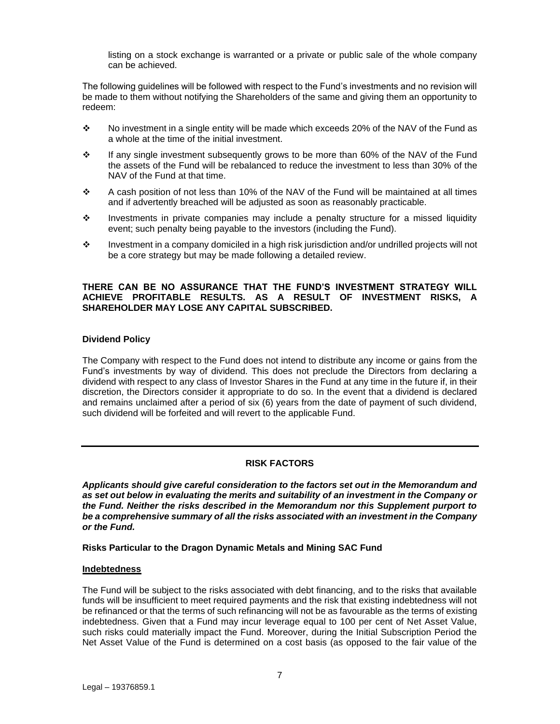listing on a stock exchange is warranted or a private or public sale of the whole company can be achieved.

The following guidelines will be followed with respect to the Fund's investments and no revision will be made to them without notifying the Shareholders of the same and giving them an opportunity to redeem:

- ❖ No investment in a single entity will be made which exceeds 20% of the NAV of the Fund as a whole at the time of the initial investment.
- ❖ If any single investment subsequently grows to be more than 60% of the NAV of the Fund the assets of the Fund will be rebalanced to reduce the investment to less than 30% of the NAV of the Fund at that time.
- $\div$  A cash position of not less than 10% of the NAV of the Fund will be maintained at all times and if advertently breached will be adjusted as soon as reasonably practicable.
- ❖ Investments in private companies may include a penalty structure for a missed liquidity event; such penalty being payable to the investors (including the Fund).
- ❖ Investment in a company domiciled in a high risk jurisdiction and/or undrilled projects will not be a core strategy but may be made following a detailed review.

## **THERE CAN BE NO ASSURANCE THAT THE FUND'S INVESTMENT STRATEGY WILL ACHIEVE PROFITABLE RESULTS. AS A RESULT OF INVESTMENT RISKS, A SHAREHOLDER MAY LOSE ANY CAPITAL SUBSCRIBED.**

## **Dividend Policy**

The Company with respect to the Fund does not intend to distribute any income or gains from the Fund's investments by way of dividend. This does not preclude the Directors from declaring a dividend with respect to any class of Investor Shares in the Fund at any time in the future if, in their discretion, the Directors consider it appropriate to do so. In the event that a dividend is declared and remains unclaimed after a period of six (6) years from the date of payment of such dividend, such dividend will be forfeited and will revert to the applicable Fund.

## **RISK FACTORS**

<span id="page-6-0"></span>*Applicants should give careful consideration to the factors set out in the Memorandum and as set out below in evaluating the merits and suitability of an investment in the Company or the Fund. Neither the risks described in the Memorandum nor this Supplement purport to be a comprehensive summary of all the risks associated with an investment in the Company or the Fund.*

## **Risks Particular to the Dragon Dynamic Metals and Mining SAC Fund**

## **Indebtedness**

The Fund will be subject to the risks associated with debt financing, and to the risks that available funds will be insufficient to meet required payments and the risk that existing indebtedness will not be refinanced or that the terms of such refinancing will not be as favourable as the terms of existing indebtedness. Given that a Fund may incur leverage equal to 100 per cent of Net Asset Value, such risks could materially impact the Fund. Moreover, during the Initial Subscription Period the Net Asset Value of the Fund is determined on a cost basis (as opposed to the fair value of the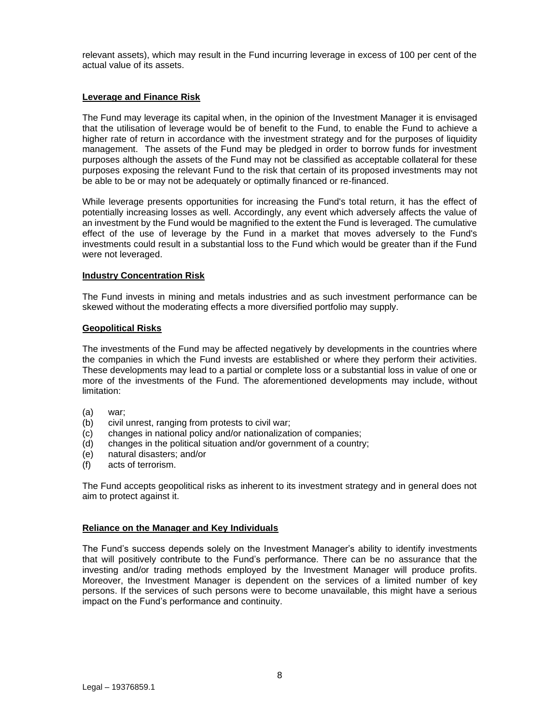relevant assets), which may result in the Fund incurring leverage in excess of 100 per cent of the actual value of its assets.

## **Leverage and Finance Risk**

The Fund may leverage its capital when, in the opinion of the Investment Manager it is envisaged that the utilisation of leverage would be of benefit to the Fund, to enable the Fund to achieve a higher rate of return in accordance with the investment strategy and for the purposes of liquidity management. The assets of the Fund may be pledged in order to borrow funds for investment purposes although the assets of the Fund may not be classified as acceptable collateral for these purposes exposing the relevant Fund to the risk that certain of its proposed investments may not be able to be or may not be adequately or optimally financed or re-financed.

While leverage presents opportunities for increasing the Fund's total return, it has the effect of potentially increasing losses as well. Accordingly, any event which adversely affects the value of an investment by the Fund would be magnified to the extent the Fund is leveraged. The cumulative effect of the use of leverage by the Fund in a market that moves adversely to the Fund's investments could result in a substantial loss to the Fund which would be greater than if the Fund were not leveraged.

#### **Industry Concentration Risk**

The Fund invests in mining and metals industries and as such investment performance can be skewed without the moderating effects a more diversified portfolio may supply.

## **Geopolitical Risks**

The investments of the Fund may be affected negatively by developments in the countries where the companies in which the Fund invests are established or where they perform their activities. These developments may lead to a partial or complete loss or a substantial loss in value of one or more of the investments of the Fund. The aforementioned developments may include, without limitation:

- (a) war;
- (b) civil unrest, ranging from protests to civil war;
- (c) changes in national policy and/or nationalization of companies;
- (d) changes in the political situation and/or government of a country;
- (e) natural disasters; and/or
- (f) acts of terrorism.

The Fund accepts geopolitical risks as inherent to its investment strategy and in general does not aim to protect against it.

## **Reliance on the Manager and Key Individuals**

The Fund's success depends solely on the Investment Manager's ability to identify investments that will positively contribute to the Fund's performance. There can be no assurance that the investing and/or trading methods employed by the Investment Manager will produce profits. Moreover, the Investment Manager is dependent on the services of a limited number of key persons. If the services of such persons were to become unavailable, this might have a serious impact on the Fund's performance and continuity.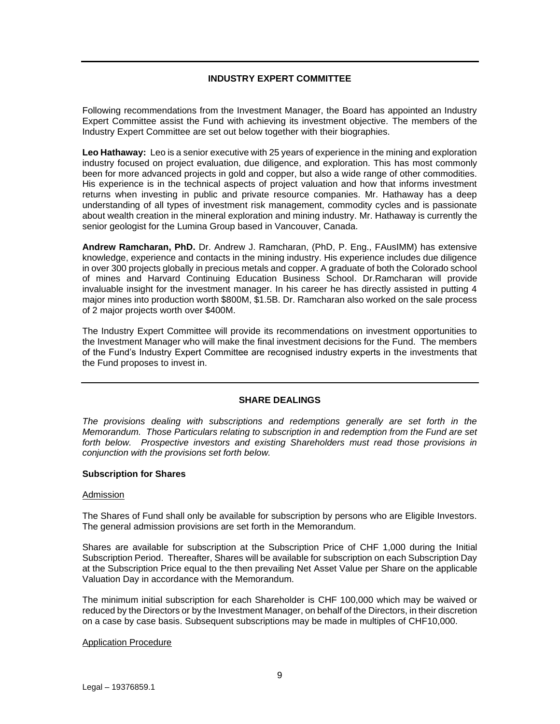# **INDUSTRY EXPERT COMMITTEE**

<span id="page-8-0"></span>Following recommendations from the Investment Manager, the Board has appointed an Industry Expert Committee assist the Fund with achieving its investment objective. The members of the Industry Expert Committee are set out below together with their biographies.

**Leo Hathaway:** Leo is a senior executive with 25 years of experience in the mining and exploration industry focused on project evaluation, due diligence, and exploration. This has most commonly been for more advanced projects in gold and copper, but also a wide range of other commodities. His experience is in the technical aspects of project valuation and how that informs investment returns when investing in public and private resource companies. Mr. Hathaway has a deep understanding of all types of investment risk management, commodity cycles and is passionate about wealth creation in the mineral exploration and mining industry. Mr. Hathaway is currently the senior geologist for the Lumina Group based in Vancouver, Canada.

**Andrew Ramcharan, PhD.** Dr. Andrew J. Ramcharan, (PhD, P. Eng., FAusIMM) has extensive knowledge, experience and contacts in the mining industry. His experience includes due diligence in over 300 projects globally in precious metals and copper. A graduate of both the Colorado school of mines and Harvard Continuing Education Business School. Dr.Ramcharan will provide invaluable insight for the investment manager. In his career he has directly assisted in putting 4 major mines into production worth \$800M, \$1.5B. Dr. Ramcharan also worked on the sale process of 2 major projects worth over \$400M.

The Industry Expert Committee will provide its recommendations on investment opportunities to the Investment Manager who will make the final investment decisions for the Fund. The members of the Fund's Industry Expert Committee are recognised industry experts in the investments that the Fund proposes to invest in.

## **SHARE DEALINGS**

<span id="page-8-1"></span>*The provisions dealing with subscriptions and redemptions generally are set forth in the Memorandum. Those Particulars relating to subscription in and redemption from the Fund are set forth below. Prospective investors and existing Shareholders must read those provisions in conjunction with the provisions set forth below.*

## **Subscription for Shares**

## Admission

The Shares of Fund shall only be available for subscription by persons who are Eligible Investors. The general admission provisions are set forth in the Memorandum.

Shares are available for subscription at the Subscription Price of CHF 1,000 during the Initial Subscription Period. Thereafter, Shares will be available for subscription on each Subscription Day at the Subscription Price equal to the then prevailing Net Asset Value per Share on the applicable Valuation Day in accordance with the Memorandum.

The minimum initial subscription for each Shareholder is CHF 100,000 which may be waived or reduced by the Directors or by the Investment Manager, on behalf of the Directors, in their discretion on a case by case basis. Subsequent subscriptions may be made in multiples of CHF10,000.

## Application Procedure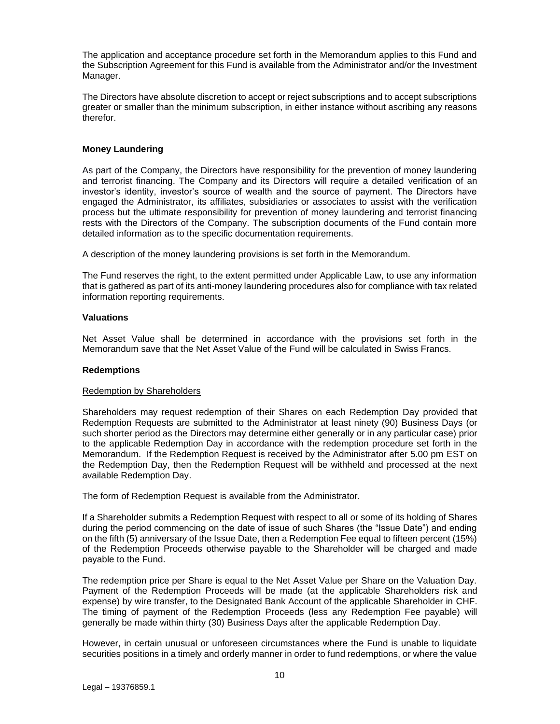The application and acceptance procedure set forth in the Memorandum applies to this Fund and the Subscription Agreement for this Fund is available from the Administrator and/or the Investment Manager.

The Directors have absolute discretion to accept or reject subscriptions and to accept subscriptions greater or smaller than the minimum subscription, in either instance without ascribing any reasons therefor.

# **Money Laundering**

As part of the Company, the Directors have responsibility for the prevention of money laundering and terrorist financing. The Company and its Directors will require a detailed verification of an investor's identity, investor's source of wealth and the source of payment. The Directors have engaged the Administrator, its affiliates, subsidiaries or associates to assist with the verification process but the ultimate responsibility for prevention of money laundering and terrorist financing rests with the Directors of the Company. The subscription documents of the Fund contain more detailed information as to the specific documentation requirements.

A description of the money laundering provisions is set forth in the Memorandum.

The Fund reserves the right, to the extent permitted under Applicable Law, to use any information that is gathered as part of its anti-money laundering procedures also for compliance with tax related information reporting requirements.

## **Valuations**

Net Asset Value shall be determined in accordance with the provisions set forth in the Memorandum save that the Net Asset Value of the Fund will be calculated in Swiss Francs.

## **Redemptions**

#### Redemption by Shareholders

Shareholders may request redemption of their Shares on each Redemption Day provided that Redemption Requests are submitted to the Administrator at least ninety (90) Business Days (or such shorter period as the Directors may determine either generally or in any particular case) prior to the applicable Redemption Day in accordance with the redemption procedure set forth in the Memorandum. If the Redemption Request is received by the Administrator after 5.00 pm EST on the Redemption Day, then the Redemption Request will be withheld and processed at the next available Redemption Day.

The form of Redemption Request is available from the Administrator.

If a Shareholder submits a Redemption Request with respect to all or some of its holding of Shares during the period commencing on the date of issue of such Shares (the "Issue Date") and ending on the fifth (5) anniversary of the Issue Date, then a Redemption Fee equal to fifteen percent (15%) of the Redemption Proceeds otherwise payable to the Shareholder will be charged and made payable to the Fund.

The redemption price per Share is equal to the Net Asset Value per Share on the Valuation Day. Payment of the Redemption Proceeds will be made (at the applicable Shareholders risk and expense) by wire transfer, to the Designated Bank Account of the applicable Shareholder in CHF. The timing of payment of the Redemption Proceeds (less any Redemption Fee payable) will generally be made within thirty (30) Business Days after the applicable Redemption Day.

However, in certain unusual or unforeseen circumstances where the Fund is unable to liquidate securities positions in a timely and orderly manner in order to fund redemptions, or where the value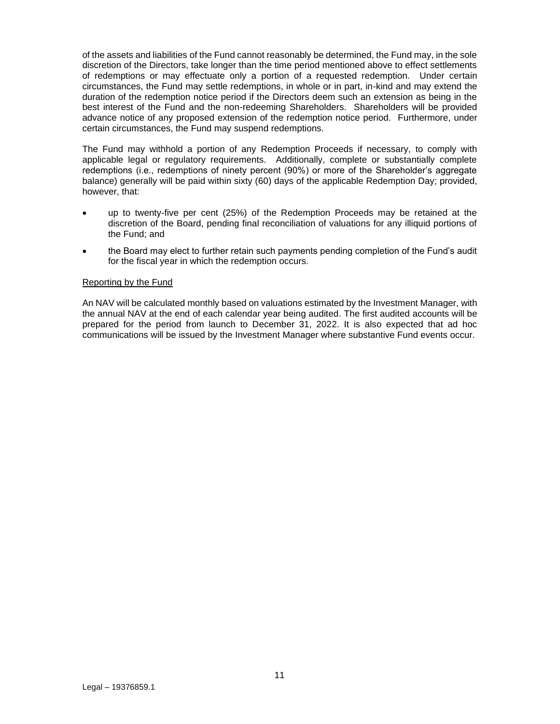of the assets and liabilities of the Fund cannot reasonably be determined, the Fund may, in the sole discretion of the Directors, take longer than the time period mentioned above to effect settlements of redemptions or may effectuate only a portion of a requested redemption. Under certain circumstances, the Fund may settle redemptions, in whole or in part, in-kind and may extend the duration of the redemption notice period if the Directors deem such an extension as being in the best interest of the Fund and the non-redeeming Shareholders. Shareholders will be provided advance notice of any proposed extension of the redemption notice period. Furthermore, under certain circumstances, the Fund may suspend redemptions.

The Fund may withhold a portion of any Redemption Proceeds if necessary, to comply with applicable legal or regulatory requirements. Additionally, complete or substantially complete redemptions (i.e., redemptions of ninety percent (90%) or more of the Shareholder's aggregate balance) generally will be paid within sixty (60) days of the applicable Redemption Day; provided, however, that:

- up to twenty-five per cent (25%) of the Redemption Proceeds may be retained at the discretion of the Board, pending final reconciliation of valuations for any illiquid portions of the Fund; and
- the Board may elect to further retain such payments pending completion of the Fund's audit for the fiscal year in which the redemption occurs.

# Reporting by the Fund

An NAV will be calculated monthly based on valuations estimated by the Investment Manager, with the annual NAV at the end of each calendar year being audited. The first audited accounts will be prepared for the period from launch to December 31, 2022. It is also expected that ad hoc communications will be issued by the Investment Manager where substantive Fund events occur.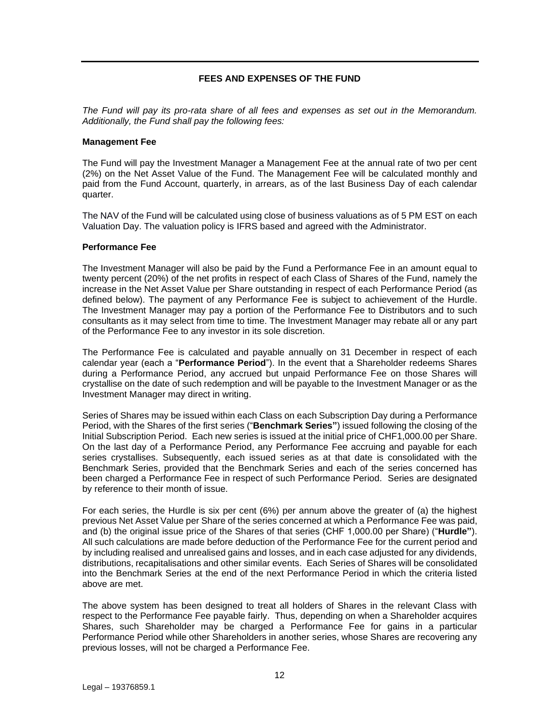# **FEES AND EXPENSES OF THE FUND**

<span id="page-11-0"></span>*The Fund will pay its pro-rata share of all fees and expenses as set out in the Memorandum. Additionally, the Fund shall pay the following fees:*

#### **Management Fee**

The Fund will pay the Investment Manager a Management Fee at the annual rate of two per cent (2%) on the Net Asset Value of the Fund. The Management Fee will be calculated monthly and paid from the Fund Account, quarterly, in arrears, as of the last Business Day of each calendar quarter.

The NAV of the Fund will be calculated using close of business valuations as of 5 PM EST on each Valuation Day. The valuation policy is IFRS based and agreed with the Administrator.

#### **Performance Fee**

The Investment Manager will also be paid by the Fund a Performance Fee in an amount equal to twenty percent (20%) of the net profits in respect of each Class of Shares of the Fund, namely the increase in the Net Asset Value per Share outstanding in respect of each Performance Period (as defined below). The payment of any Performance Fee is subject to achievement of the Hurdle. The Investment Manager may pay a portion of the Performance Fee to Distributors and to such consultants as it may select from time to time. The Investment Manager may rebate all or any part of the Performance Fee to any investor in its sole discretion.

The Performance Fee is calculated and payable annually on 31 December in respect of each calendar year (each a "**Performance Period**"). In the event that a Shareholder redeems Shares during a Performance Period, any accrued but unpaid Performance Fee on those Shares will crystallise on the date of such redemption and will be payable to the Investment Manager or as the Investment Manager may direct in writing.

<span id="page-11-1"></span>Series of Shares may be issued within each Class on each Subscription Day during a Performance Period, with the Shares of the first series ("**Benchmark Series"**) issued following the closing of the Initial Subscription Period. Each new series is issued at the initial price of CHF1,000.00 per Share. On the last day of a Performance Period, any Performance Fee accruing and payable for each series crystallises. Subsequently, each issued series as at that date is consolidated with the Benchmark Series, provided that the Benchmark Series and each of the series concerned has been charged a Performance Fee in respect of such Performance Period. Series are designated by reference to their month of issue.

For each series, the Hurdle is six per cent (6%) per annum above the greater of (a) the highest previous Net Asset Value per Share of the series concerned at which a Performance Fee was paid, and (b) the original issue price of the Shares of that series (CHF 1,000.00 per Share) ("**Hurdle"**). All such calculations are made before deduction of the Performance Fee for the current period and by including realised and unrealised gains and losses, and in each case adjusted for any dividends, distributions, recapitalisations and other similar events. Each Series of Shares will be consolidated into the Benchmark Series at the end of the next Performance Period in which the criteria listed above are met.

<span id="page-11-2"></span>The above system has been designed to treat all holders of Shares in the relevant Class with respect to the Performance Fee payable fairly. Thus, depending on when a Shareholder acquires Shares, such Shareholder may be charged a Performance Fee for gains in a particular Performance Period while other Shareholders in another series, whose Shares are recovering any previous losses, will not be charged a Performance Fee.